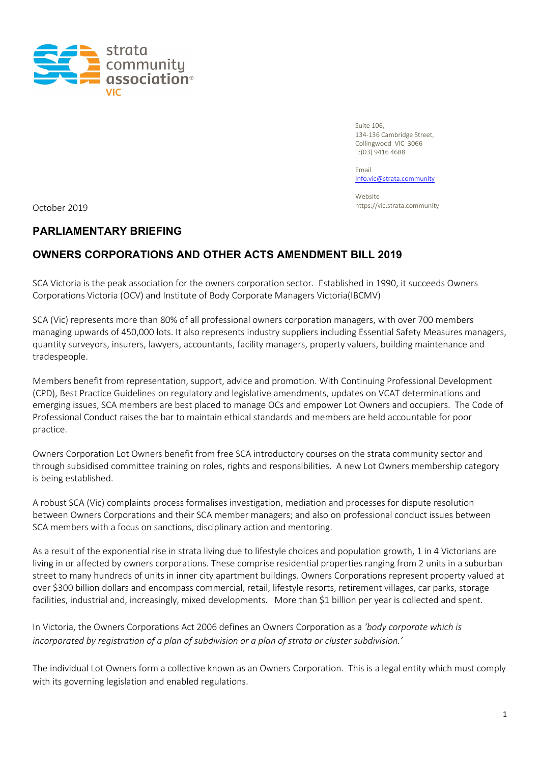

Suite 106, 134-136 Cambridge Street, Collingwood VIC 3066 T:(03) 9416 4688

Email [Info.vic@strata.community](mailto:Info.vic@strata.community)

Website https://vic.strata.community October 2019

## **PARLIAMENTARY BRIEFING**

## **OWNERS CORPORATIONS AND OTHER ACTS AMENDMENT BILL 2019**

SCA Victoria is the peak association for the owners corporation sector. Established in 1990, it succeeds Owners Corporations Victoria (OCV) and Institute of Body Corporate Managers Victoria(IBCMV)

SCA (Vic) represents more than 80% of all professional owners corporation managers, with over 700 members managing upwards of 450,000 lots. It also represents industry suppliers including Essential Safety Measures managers, quantity surveyors, insurers, lawyers, accountants, facility managers, property valuers, building maintenance and tradespeople.

Members benefit from representation, support, advice and promotion. With Continuing Professional Development (CPD), Best Practice Guidelines on regulatory and legislative amendments, updates on VCAT determinations and emerging issues, SCA members are best placed to manage OCs and empower Lot Owners and occupiers. The Code of Professional Conduct raises the bar to maintain ethical standards and members are held accountable for poor practice.

Owners Corporation Lot Owners benefit from free SCA introductory courses on the strata community sector and through subsidised committee training on roles, rights and responsibilities. A new Lot Owners membership category is being established.

A robust SCA (Vic) complaints process formalises investigation, mediation and processes for dispute resolution between Owners Corporations and their SCA member managers; and also on professional conduct issues between SCA members with a focus on sanctions, disciplinary action and mentoring.

As a result of the exponential rise in strata living due to lifestyle choices and population growth, 1 in 4 Victorians are living in or affected by owners corporations. These comprise residential properties ranging from 2 units in a suburban street to many hundreds of units in inner city apartment buildings. Owners Corporations represent property valued at over \$300 billion dollars and encompass commercial, retail, lifestyle resorts, retirement villages, car parks, storage facilities, industrial and, increasingly, mixed developments. More than \$1 billion per year is collected and spent.

In Victoria, the Owners Corporations Act 2006 defines an Owners Corporation as a *'body corporate which is incorporated by registration of a plan of subdivision or a plan of strata or cluster subdivision.'*

The individual Lot Owners form a collective known as an Owners Corporation. This is a legal entity which must comply with its governing legislation and enabled regulations.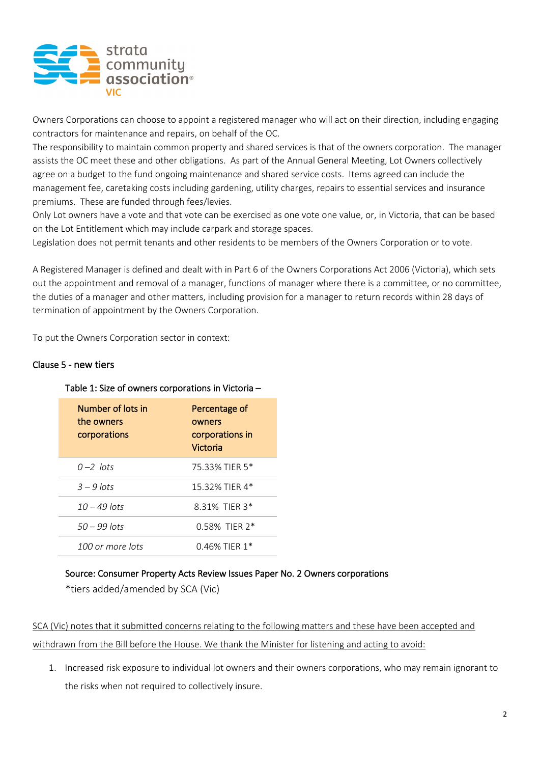

Owners Corporations can choose to appoint a registered manager who will act on their direction, including engaging contractors for maintenance and repairs, on behalf of the OC.

The responsibility to maintain common property and shared services is that of the owners corporation. The manager assists the OC meet these and other obligations. As part of the Annual General Meeting, Lot Owners collectively agree on a budget to the fund ongoing maintenance and shared service costs. Items agreed can include the management fee, caretaking costs including gardening, utility charges, repairs to essential services and insurance premiums. These are funded through fees/levies.

Only Lot owners have a vote and that vote can be exercised as one vote one value, or, in Victoria, that can be based on the Lot Entitlement which may include carpark and storage spaces.

Legislation does not permit tenants and other residents to be members of the Owners Corporation or to vote.

A Registered Manager is defined and dealt with in Part 6 of the Owners Corporations Act 2006 (Victoria), which sets out the appointment and removal of a manager, functions of manager where there is a committee, or no committee, the duties of a manager and other matters, including provision for a manager to return records within 28 days of termination of appointment by the Owners Corporation.

To put the Owners Corporation sector in context:

#### Clause 5 - new tiers

| Number of lots in<br>the owners<br>corporations | Percentage of<br>owners<br>corporations in<br>Victoria |
|-------------------------------------------------|--------------------------------------------------------|
| $0-2$ lots                                      | 75.33% TIER 5*                                         |
| $3 - 9$ lots                                    | 15.32% TIFR 4*                                         |
| $10 - 49$ lots                                  | 8.31% TIFR 3*                                          |
| $50 - 99$ lots                                  | $0.58\%$ TIFR $2*$                                     |
| 100 or more lots                                | $0.46\%$ TIFR 1*                                       |

#### Table 1: Size of owners corporations in Victoria –

#### Source: Consumer Property Acts Review Issues Paper No. 2 Owners corporations

\*tiers added/amended by SCA (Vic)

SCA (Vic) notes that it submitted concerns relating to the following matters and these have been accepted and withdrawn from the Bill before the House. We thank the Minister for listening and acting to avoid:

1. Increased risk exposure to individual lot owners and their owners corporations, who may remain ignorant to the risks when not required to collectively insure.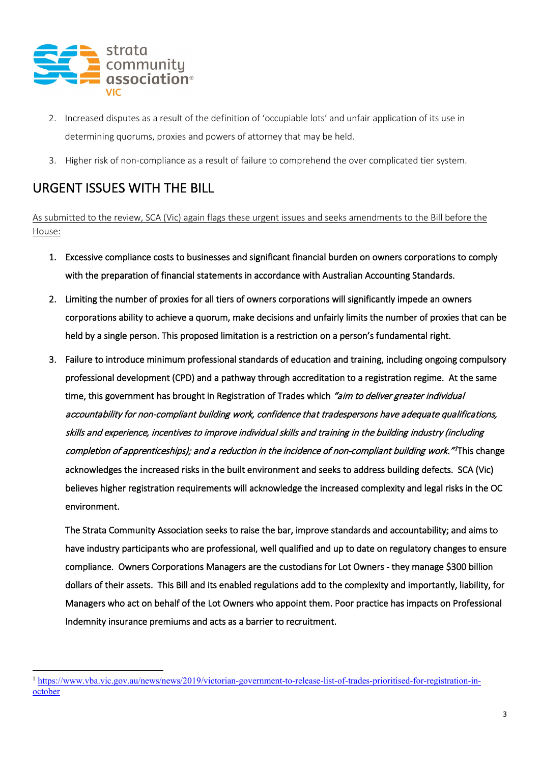

- 2. Increased disputes as a result of the definition of 'occupiable lots' and unfair application of its use in determining quorums, proxies and powers of attorney that may be held.
- 3. Higher risk of non-compliance as a result of failure to comprehend the over complicated tier system.

# URGENT ISSUES WITH THE BILL

As submitted to the review, SCA (Vic) again flags these urgent issues and seeks amendments to the Bill before the House:

- 1. Excessive compliance costs to businesses and significant financial burden on owners corporations to comply with the preparation of financial statements in accordance with Australian Accounting Standards.
- 2. Limiting the number of proxies for all tiers of owners corporations will significantly impede an owners corporations ability to achieve a quorum, make decisions and unfairly limits the number of proxies that can be held by a single person. This proposed limitation is a restriction on a person's fundamental right.
- 3. Failure to introduce minimum professional standards of education and training, including ongoing compulsory professional development (CPD) and a pathway through accreditation to a registration regime. At the same time, this government has brought in Registration of Trades which "aim to deliver greater individual accountability for non-compliant building work, confidence that tradespersons have adequate qualifications, skills and experience, incentives to improve individual skills and training in the building industry (including completion of apprenticeships); and a reduction in the incidence of non-compliant building work."<sup>[1](#page-2-0)</sup>This change acknowledges the increased risks in the built environment and seeks to address building defects. SCA (Vic) believes higher registration requirements will acknowledge the increased complexity and legal risks in the OC environment.

The Strata Community Association seeks to raise the bar, improve standards and accountability; and aims to have industry participants who are professional, well qualified and up to date on regulatory changes to ensure compliance. Owners Corporations Managers are the custodians for Lot Owners - they manage \$300 billion dollars of their assets. This Bill and its enabled regulations add to the complexity and importantly, liability, for Managers who act on behalf of the Lot Owners who appoint them. Poor practice has impacts on Professional Indemnity insurance premiums and acts as a barrier to recruitment.

<span id="page-2-0"></span><sup>1</sup> [https://www.vba.vic.gov.au/news/news/2019/victorian-government-to-release-list-of-trades-prioritised-for-registration-in](https://www.vba.vic.gov.au/news/news/2019/victorian-government-to-release-list-of-trades-prioritised-for-registration-in-october)[october](https://www.vba.vic.gov.au/news/news/2019/victorian-government-to-release-list-of-trades-prioritised-for-registration-in-october)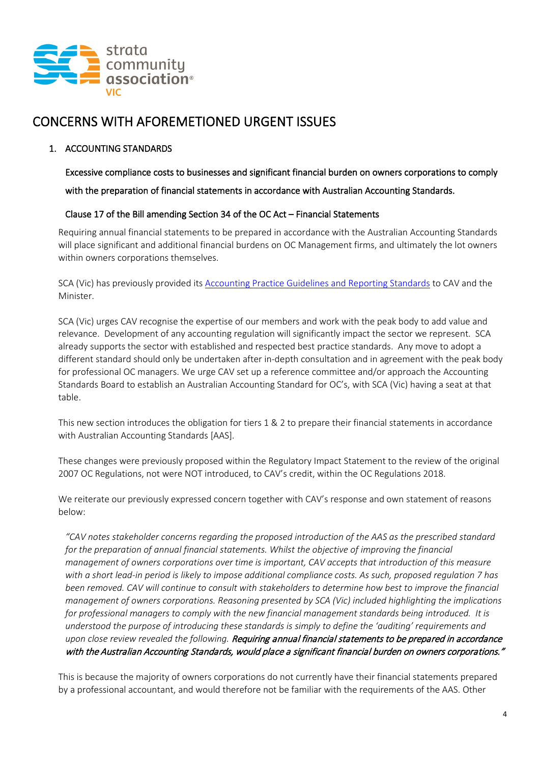

## CONCERNS WITH AFOREMETIONED URGENT ISSUES

#### 1. ACCOUNTING STANDARDS

Excessive compliance costs to businesses and significant financial burden on owners corporations to comply with the preparation of financial statements in accordance with Australian Accounting Standards.

#### Clause 17 of the Bill amending Section 34 of the OC Act – Financial Statements

 Requiring annual financial statements to be prepared in accordance with the Australian Accounting Standards will place significant and additional financial burdens on OC Management firms, and ultimately the lot owners within owners corporations themselves.

SCA (Vic) has previously provided its **Accounting Practice Guidelines and Reporting Standards to CAV and the** Minister.

SCA (Vic) urges CAV recognise the expertise of our members and work with the peak body to add value and relevance. Development of any accounting regulation will significantly impact the sector we represent. SCA already supports the sector with established and respected best practice standards. Any move to adopt a different standard should only be undertaken after in-depth consultation and in agreement with the peak body for professional OC managers. We urge CAV set up a reference committee and/or approach the Accounting Standards Board to establish an Australian Accounting Standard for OC's, with SCA (Vic) having a seat at that table.

This new section introduces the obligation for tiers 1 & 2 to prepare their financial statements in accordance with Australian Accounting Standards [AAS].

These changes were previously proposed within the Regulatory Impact Statement to the review of the original 2007 OC Regulations, not were NOT introduced, to CAV's credit, within the OC Regulations 2018.

We reiterate our previously expressed concern together with CAV's response and own statement of reasons below:

*"CAV notes stakeholder concerns regarding the proposed introduction of the AAS as the prescribed standard*  for the preparation of annual financial statements. Whilst the objective of improving the financial *management of owners corporations over time is important, CAV accepts that introduction of this measure with a short lead-in period is likely to impose additional compliance costs. As such, proposed regulation 7 has been removed. CAV will continue to consult with stakeholders to determine how best to improve the financial management of owners corporations. Reasoning presented by SCA (Vic) included highlighting the implications for professional managers to comply with the new financial management standards being introduced. It is understood the purpose of introducing these standards is simply to define the 'auditing' requirements and upon close review revealed the following.* Requiring annual financial statements to be prepared in accordance with the Australian Accounting Standards, would place a significant financial burden on owners corporations."

This is because the majority of owners corporations do not currently have their financial statements prepared by a professional accountant, and would therefore not be familiar with the requirements of the AAS. Other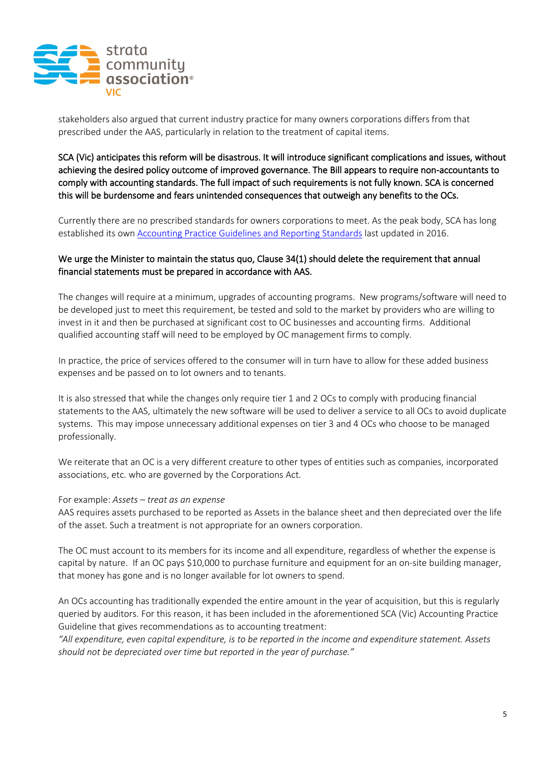

stakeholders also argued that current industry practice for many owners corporations differs from that prescribed under the AAS, particularly in relation to the treatment of capital items.

SCA (Vic) anticipates this reform will be disastrous. It will introduce significant complications and issues, without achieving the desired policy outcome of improved governance. The Bill appears to require non-accountants to comply with accounting standards. The full impact of such requirements is not fully known. SCA is concerned this will be burdensome and fears unintended consequences that outweigh any benefits to the OCs.

Currently there are no prescribed standards for owners corporations to meet. As the peak body, SCA has long established its own **Accounting Practice Guidelines and Reporting Standards** last updated in 2016.

#### We urge the Minister to maintain the status quo, Clause 34(1) should delete the requirement that annual financial statements must be prepared in accordance with AAS.

The changes will require at a minimum, upgrades of accounting programs. New programs/software will need to be developed just to meet this requirement, be tested and sold to the market by providers who are willing to invest in it and then be purchased at significant cost to OC businesses and accounting firms. Additional qualified accounting staff will need to be employed by OC management firms to comply.

In practice, the price of services offered to the consumer will in turn have to allow for these added business expenses and be passed on to lot owners and to tenants.

It is also stressed that while the changes only require tier 1 and 2 OCs to comply with producing financial statements to the AAS, ultimately the new software will be used to deliver a service to all OCs to avoid duplicate systems. This may impose unnecessary additional expenses on tier 3 and 4 OCs who choose to be managed professionally.

We reiterate that an OC is a very different creature to other types of entities such as companies, incorporated associations, etc. who are governed by the Corporations Act.

#### For example: *Assets – treat as an expense*

AAS requires assets purchased to be reported as Assets in the balance sheet and then depreciated over the life of the asset. Such a treatment is not appropriate for an owners corporation.

The OC must account to its members for its income and all expenditure, regardless of whether the expense is capital by nature. If an OC pays \$10,000 to purchase furniture and equipment for an on-site building manager, that money has gone and is no longer available for lot owners to spend.

An OCs accounting has traditionally expended the entire amount in the year of acquisition, but this is regularly queried by auditors. For this reason, it has been included in the aforementioned SCA (Vic) Accounting Practice Guideline that gives recommendations as to accounting treatment:

*"All expenditure, even capital expenditure, is to be reported in the income and expenditure statement. Assets should not be depreciated over time but reported in the year of purchase."*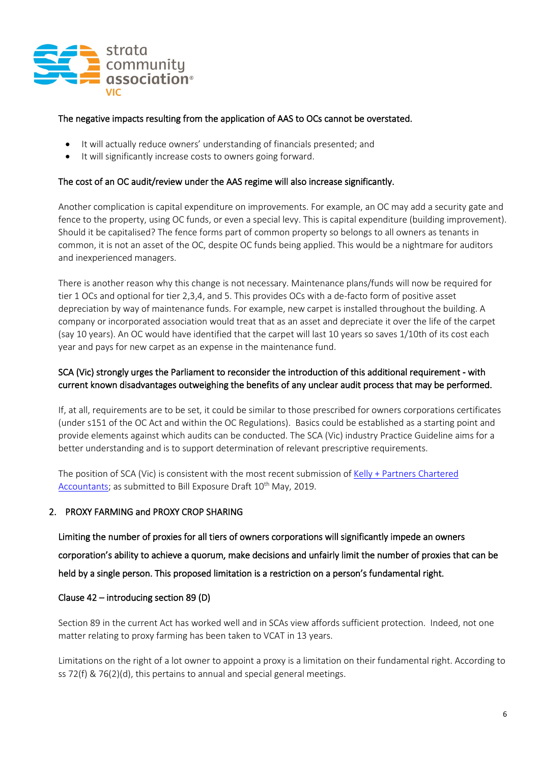

#### The negative impacts resulting from the application of AAS to OCs cannot be overstated.

- It will actually reduce owners' understanding of financials presented; and
- It will significantly increase costs to owners going forward.

#### The cost of an OC audit/review under the AAS regime will also increase significantly.

Another complication is capital expenditure on improvements. For example, an OC may add a security gate and fence to the property, using OC funds, or even a special levy. This is capital expenditure (building improvement). Should it be capitalised? The fence forms part of common property so belongs to all owners as tenants in common, it is not an asset of the OC, despite OC funds being applied. This would be a nightmare for auditors and inexperienced managers.

There is another reason why this change is not necessary. Maintenance plans/funds will now be required for tier 1 OCs and optional for tier 2,3,4, and 5. This provides OCs with a de-facto form of positive asset depreciation by way of maintenance funds. For example, new carpet is installed throughout the building. A company or incorporated association would treat that as an asset and depreciate it over the life of the carpet (say 10 years). An OC would have identified that the carpet will last 10 years so saves 1/10th of its cost each year and pays for new carpet as an expense in the maintenance fund.

#### SCA (Vic) strongly urges the Parliament to reconsider the introduction of this additional requirement - with current known disadvantages outweighing the benefits of any unclear audit process that may be performed.

If, at all, requirements are to be set, it could be similar to those prescribed for owners corporations certificates (under s151 of the OC Act and within the OC Regulations). Basics could be established as a starting point and provide elements against which audits can be conducted. The SCA (Vic) industry Practice Guideline aims for a better understanding and is to support determination of relevant prescriptive requirements.

The position of SCA (Vic) is consistent with the most recent submission of [Kelly + Partners Chartered](https://stratacommunity.sharepoint.com/sites/VIC/Shared%20Documents/Advocacy/Kelly%20+%20Partners%20Chartered%20Accountants%20(Peter%20Dawkins)%20(PDF,%202.4MB))  [Accountants;](https://stratacommunity.sharepoint.com/sites/VIC/Shared%20Documents/Advocacy/Kelly%20+%20Partners%20Chartered%20Accountants%20(Peter%20Dawkins)%20(PDF,%202.4MB)) as submitted to Bill Exposure Draft 10<sup>th</sup> May, 2019.

#### 2. PROXY FARMING and PROXY CROP SHARING

Limiting the number of proxies for all tiers of owners corporations will significantly impede an owners corporation's ability to achieve a quorum, make decisions and unfairly limit the number of proxies that can be held by a single person. This proposed limitation is a restriction on a person's fundamental right.

#### Clause 42 – introducing section 89 (D)

Section 89 in the current Act has worked well and in SCAs view affords sufficient protection. Indeed, not one matter relating to proxy farming has been taken to VCAT in 13 years.

Limitations on the right of a lot owner to appoint a proxy is a limitation on their fundamental right. According to ss 72(f) & 76(2)(d), this pertains to annual and special general meetings.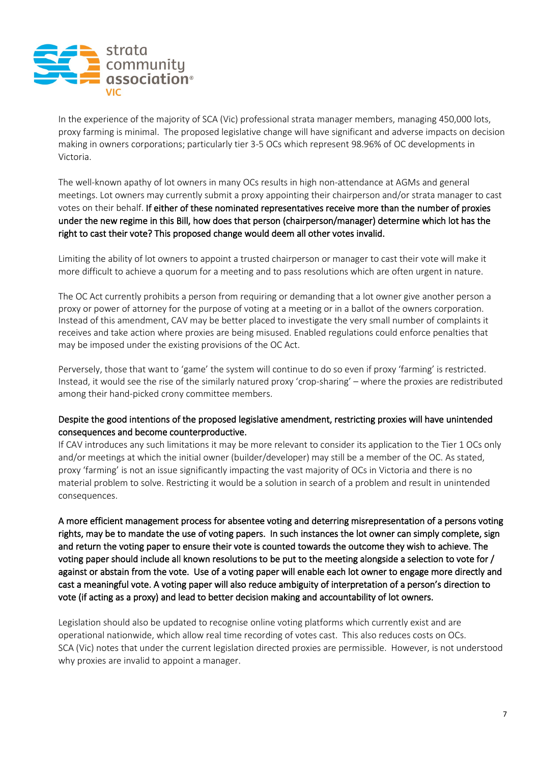

In the experience of the majority of SCA (Vic) professional strata manager members, managing 450,000 lots, proxy farming is minimal. The proposed legislative change will have significant and adverse impacts on decision making in owners corporations; particularly tier 3-5 OCs which represent 98.96% of OC developments in Victoria.

The well-known apathy of lot owners in many OCs results in high non-attendance at AGMs and general meetings. Lot owners may currently submit a proxy appointing their chairperson and/or strata manager to cast votes on their behalf. If either of these nominated representatives receive more than the number of proxies under the new regime in this Bill, how does that person (chairperson/manager) determine which lot has the right to cast their vote? This proposed change would deem all other votes invalid.

Limiting the ability of lot owners to appoint a trusted chairperson or manager to cast their vote will make it more difficult to achieve a quorum for a meeting and to pass resolutions which are often urgent in nature.

The OC Act currently prohibits a person from requiring or demanding that a lot owner give another person a proxy or power of attorney for the purpose of voting at a meeting or in a ballot of the owners corporation. Instead of this amendment, CAV may be better placed to investigate the very small number of complaints it receives and take action where proxies are being misused. Enabled regulations could enforce penalties that may be imposed under the existing provisions of the OC Act.

Perversely, those that want to 'game' the system will continue to do so even if proxy 'farming' is restricted. Instead, it would see the rise of the similarly natured proxy 'crop-sharing' – where the proxies are redistributed among their hand-picked crony committee members.

#### Despite the good intentions of the proposed legislative amendment, restricting proxies will have unintended consequences and become counterproductive.

If CAV introduces any such limitations it may be more relevant to consider its application to the Tier 1 OCs only and/or meetings at which the initial owner (builder/developer) may still be a member of the OC. As stated, proxy 'farming' is not an issue significantly impacting the vast majority of OCs in Victoria and there is no material problem to solve. Restricting it would be a solution in search of a problem and result in unintended consequences.

A more efficient management process for absentee voting and deterring misrepresentation of a persons voting rights, may be to mandate the use of voting papers. In such instances the lot owner can simply complete, sign and return the voting paper to ensure their vote is counted towards the outcome they wish to achieve. The voting paper should include all known resolutions to be put to the meeting alongside a selection to vote for / against or abstain from the vote. Use of a voting paper will enable each lot owner to engage more directly and cast a meaningful vote. A voting paper will also reduce ambiguity of interpretation of a person's direction to vote (if acting as a proxy) and lead to better decision making and accountability of lot owners.

Legislation should also be updated to recognise online voting platforms which currently exist and are operational nationwide, which allow real time recording of votes cast. This also reduces costs on OCs. SCA (Vic) notes that under the current legislation directed proxies are permissible. However, is not understood why proxies are invalid to appoint a manager.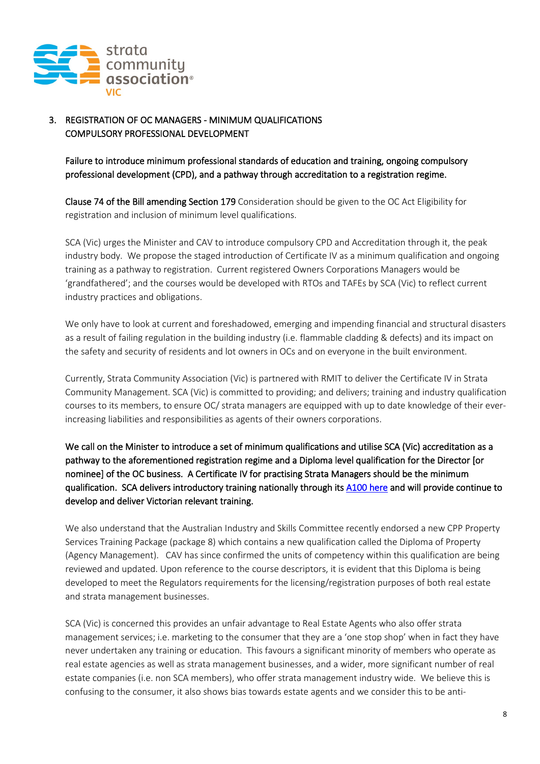

## 3. REGISTRATION OF OC MANAGERS - MINIMUM QUALIFICATIONS COMPULSORY PROFESSIONAL DEVELOPMENT

Failure to introduce minimum professional standards of education and training, ongoing compulsory professional development (CPD), and a pathway through accreditation to a registration regime.

Clause 74 of the Bill amending Section 179 Consideration should be given to the OC Act Eligibility for registration and inclusion of minimum level qualifications.

SCA (Vic) urges the Minister and CAV to introduce compulsory CPD and Accreditation through it, the peak industry body. We propose the staged introduction of Certificate IV as a minimum qualification and ongoing training as a pathway to registration. Current registered Owners Corporations Managers would be 'grandfathered'; and the courses would be developed with RTOs and TAFEs by SCA (Vic) to reflect current industry practices and obligations.

We only have to look at current and foreshadowed, emerging and impending financial and structural disasters as a result of failing regulation in the building industry (i.e. flammable cladding & defects) and its impact on the safety and security of residents and lot owners in OCs and on everyone in the built environment.

Currently, Strata Community Association (Vic) is partnered with RMIT to deliver the Certificate IV in Strata Community Management. SCA (Vic) is committed to providing; and delivers; training and industry qualification courses to its members, to ensure OC/ strata managers are equipped with up to date knowledge of their everincreasing liabilities and responsibilities as agents of their owners corporations.

We call on the Minister to introduce a set of minimum qualifications and utilise SCA (Vic) accreditation as a pathway to the aforementioned registration regime and a Diploma level qualification for the Director [or nominee] of the OC business. A Certificate IV for practising Strata Managers should be the minimum qualification. SCA delivers introductory training nationally through its [A100 here](https://www.strata.community/about-us/education/a100---introduction-to-strata) and will provide continue to develop and deliver Victorian relevant training.

We also understand that the Australian Industry and Skills Committee recently endorsed a new CPP Property Services Training Package (package 8) which contains a new qualification called the Diploma of Property (Agency Management). CAV has since confirmed the units of competency within this qualification are being reviewed and updated. Upon reference to the course descriptors, it is evident that this Diploma is being developed to meet the Regulators requirements for the licensing/registration purposes of both real estate and strata management businesses.

SCA (Vic) is concerned this provides an unfair advantage to Real Estate Agents who also offer strata management services; i.e. marketing to the consumer that they are a 'one stop shop' when in fact they have never undertaken any training or education. This favours a significant minority of members who operate as real estate agencies as well as strata management businesses, and a wider, more significant number of real estate companies (i.e. non SCA members), who offer strata management industry wide. We believe this is confusing to the consumer, it also shows bias towards estate agents and we consider this to be anti-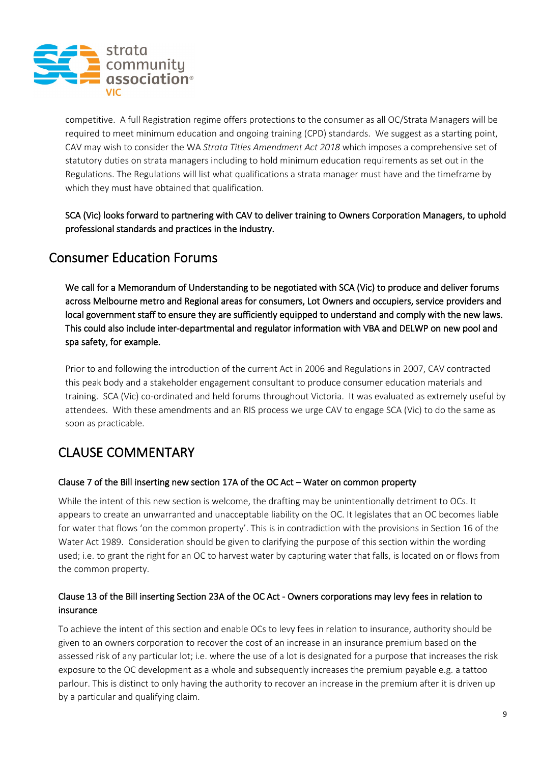

competitive. A full Registration regime offers protections to the consumer as all OC/Strata Managers will be required to meet minimum education and ongoing training (CPD) standards. We suggest as a starting point, CAV may wish to consider the WA *Strata Titles Amendment Act 2018* which imposes a comprehensive set of statutory duties on strata managers including to hold minimum education requirements as set out in the Regulations. The Regulations will list what qualifications a strata manager must have and the timeframe by which they must have obtained that qualification.

SCA (Vic) looks forward to partnering with CAV to deliver training to Owners Corporation Managers, to uphold professional standards and practices in the industry.

## Consumer Education Forums

We call for a Memorandum of Understanding to be negotiated with SCA (Vic) to produce and deliver forums across Melbourne metro and Regional areas for consumers, Lot Owners and occupiers, service providers and local government staff to ensure they are sufficiently equipped to understand and comply with the new laws. This could also include inter-departmental and regulator information with VBA and DELWP on new pool and spa safety, for example.

Prior to and following the introduction of the current Act in 2006 and Regulations in 2007, CAV contracted this peak body and a stakeholder engagement consultant to produce consumer education materials and training. SCA (Vic) co-ordinated and held forums throughout Victoria. It was evaluated as extremely useful by attendees. With these amendments and an RIS process we urge CAV to engage SCA (Vic) to do the same as soon as practicable.

# CLAUSE COMMENTARY

#### Clause 7 of the Bill inserting new section 17A of the OC Act – Water on common property

While the intent of this new section is welcome, the drafting may be unintentionally detriment to OCs. It appears to create an unwarranted and unacceptable liability on the OC. It legislates that an OC becomes liable for water that flows 'on the common property'. This is in contradiction with the provisions in Section 16 of the Water Act 1989. Consideration should be given to clarifying the purpose of this section within the wording used; i.e. to grant the right for an OC to harvest water by capturing water that falls, is located on or flows from the common property.

## Clause 13 of the Bill inserting Section 23A of the OC Act - Owners corporations may levy fees in relation to insurance

To achieve the intent of this section and enable OCs to levy fees in relation to insurance, authority should be given to an owners corporation to recover the cost of an increase in an insurance premium based on the assessed risk of any particular lot; i.e. where the use of a lot is designated for a purpose that increases the risk exposure to the OC development as a whole and subsequently increases the premium payable e.g. a tattoo parlour. This is distinct to only having the authority to recover an increase in the premium after it is driven up by a particular and qualifying claim.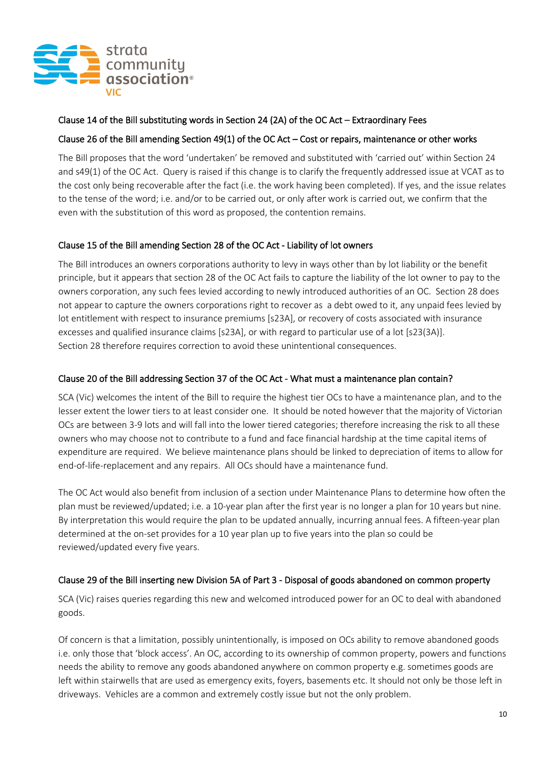

#### Clause 14 of the Bill substituting words in Section 24 (2A) of the OC Act – Extraordinary Fees

#### Clause 26 of the Bill amending Section 49(1) of the OC Act – Cost or repairs, maintenance or other works

The Bill proposes that the word 'undertaken' be removed and substituted with 'carried out' within Section 24 and s49(1) of the OC Act. Query is raised if this change is to clarify the frequently addressed issue at VCAT as to the cost only being recoverable after the fact (i.e. the work having been completed). If yes, and the issue relates to the tense of the word; i.e. and/or to be carried out, or only after work is carried out, we confirm that the even with the substitution of this word as proposed, the contention remains.

#### Clause 15 of the Bill amending Section 28 of the OC Act - Liability of lot owners

The Bill introduces an owners corporations authority to levy in ways other than by lot liability or the benefit principle, but it appears that section 28 of the OC Act fails to capture the liability of the lot owner to pay to the owners corporation, any such fees levied according to newly introduced authorities of an OC. Section 28 does not appear to capture the owners corporations right to recover as a debt owed to it, any unpaid fees levied by lot entitlement with respect to insurance premiums [s23A], or recovery of costs associated with insurance excesses and qualified insurance claims [s23A], or with regard to particular use of a lot [s23(3A)]. Section 28 therefore requires correction to avoid these unintentional consequences.

#### Clause 20 of the Bill addressing Section 37 of the OC Act - What must a maintenance plan contain?

SCA (Vic) welcomes the intent of the Bill to require the highest tier OCs to have a maintenance plan, and to the lesser extent the lower tiers to at least consider one. It should be noted however that the majority of Victorian OCs are between 3-9 lots and will fall into the lower tiered categories; therefore increasing the risk to all these owners who may choose not to contribute to a fund and face financial hardship at the time capital items of expenditure are required. We believe maintenance plans should be linked to depreciation of items to allow for end-of-life-replacement and any repairs. All OCs should have a maintenance fund.

The OC Act would also benefit from inclusion of a section under Maintenance Plans to determine how often the plan must be reviewed/updated; i.e. a 10-year plan after the first year is no longer a plan for 10 years but nine. By interpretation this would require the plan to be updated annually, incurring annual fees. A fifteen-year plan determined at the on-set provides for a 10 year plan up to five years into the plan so could be reviewed/updated every five years.

#### Clause 29 of the Bill inserting new Division 5A of Part 3 - Disposal of goods abandoned on common property

SCA (Vic) raises queries regarding this new and welcomed introduced power for an OC to deal with abandoned goods.

Of concern is that a limitation, possibly unintentionally, is imposed on OCs ability to remove abandoned goods i.e. only those that 'block access'. An OC, according to its ownership of common property, powers and functions needs the ability to remove any goods abandoned anywhere on common property e.g. sometimes goods are left within stairwells that are used as emergency exits, foyers, basements etc. It should not only be those left in driveways. Vehicles are a common and extremely costly issue but not the only problem.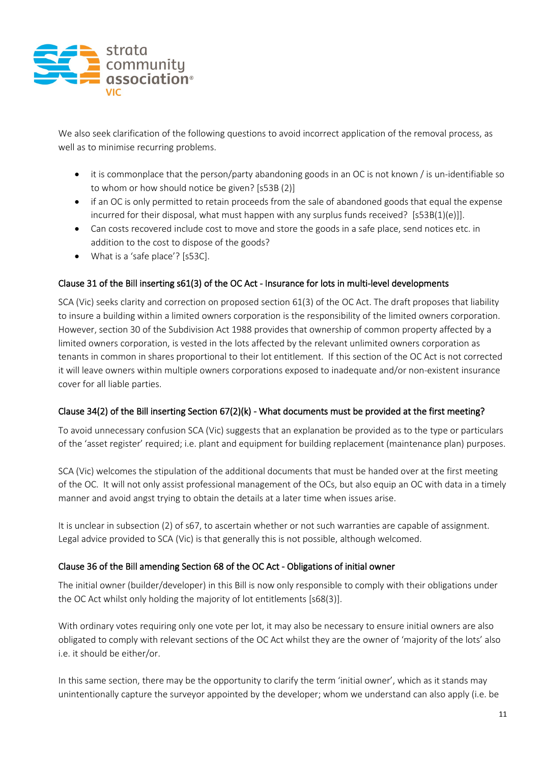

We also seek clarification of the following questions to avoid incorrect application of the removal process, as well as to minimise recurring problems.

- it is commonplace that the person/party abandoning goods in an OC is not known / is un-identifiable so to whom or how should notice be given? [s53B (2)]
- if an OC is only permitted to retain proceeds from the sale of abandoned goods that equal the expense incurred for their disposal, what must happen with any surplus funds received?  $[553B(1)(e)]]$ .
- Can costs recovered include cost to move and store the goods in a safe place, send notices etc. in addition to the cost to dispose of the goods?
- What is a 'safe place'? [s53C].

## Clause 31 of the Bill inserting s61(3) of the OC Act - Insurance for lots in multi-level developments

SCA (Vic) seeks clarity and correction on proposed section 61(3) of the OC Act. The draft proposes that liability to insure a building within a limited owners corporation is the responsibility of the limited owners corporation. However, section 30 of the Subdivision Act 1988 provides that ownership of common property affected by a limited owners corporation, is vested in the lots affected by the relevant unlimited owners corporation as tenants in common in shares proportional to their lot entitlement. If this section of the OC Act is not corrected it will leave owners within multiple owners corporations exposed to inadequate and/or non-existent insurance cover for all liable parties.

## Clause 34(2) of the Bill inserting Section 67(2)(k) - What documents must be provided at the first meeting?

To avoid unnecessary confusion SCA (Vic) suggests that an explanation be provided as to the type or particulars of the 'asset register' required; i.e. plant and equipment for building replacement (maintenance plan) purposes.

SCA (Vic) welcomes the stipulation of the additional documents that must be handed over at the first meeting of the OC. It will not only assist professional management of the OCs, but also equip an OC with data in a timely manner and avoid angst trying to obtain the details at a later time when issues arise.

It is unclear in subsection (2) of s67, to ascertain whether or not such warranties are capable of assignment. Legal advice provided to SCA (Vic) is that generally this is not possible, although welcomed.

## Clause 36 of the Bill amending Section 68 of the OC Act - Obligations of initial owner

The initial owner (builder/developer) in this Bill is now only responsible to comply with their obligations under the OC Act whilst only holding the majority of lot entitlements [s68(3)].

With ordinary votes requiring only one vote per lot, it may also be necessary to ensure initial owners are also obligated to comply with relevant sections of the OC Act whilst they are the owner of 'majority of the lots' also i.e. it should be either/or.

In this same section, there may be the opportunity to clarify the term 'initial owner', which as it stands may unintentionally capture the surveyor appointed by the developer; whom we understand can also apply (i.e. be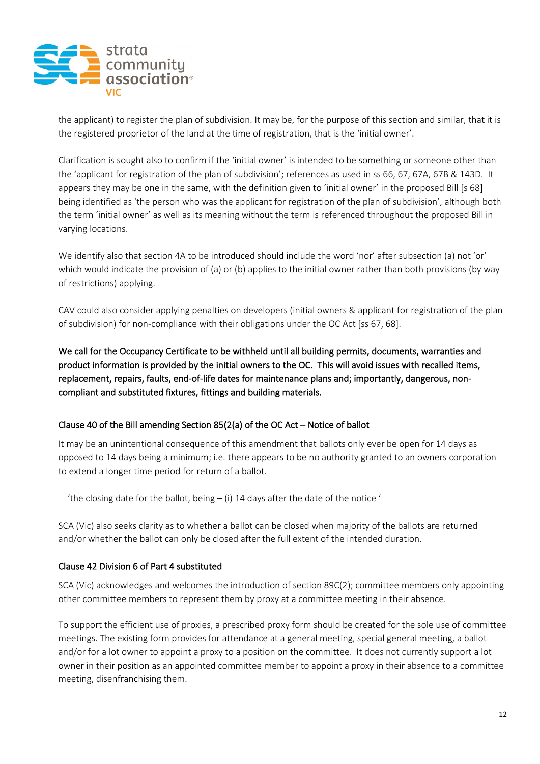

the applicant) to register the plan of subdivision. It may be, for the purpose of this section and similar, that it is the registered proprietor of the land at the time of registration, that is the 'initial owner'.

Clarification is sought also to confirm if the 'initial owner' is intended to be something or someone other than the 'applicant for registration of the plan of subdivision'; references as used in ss 66, 67, 67A, 67B & 143D. It appears they may be one in the same, with the definition given to 'initial owner' in the proposed Bill [s 68] being identified as 'the person who was the applicant for registration of the plan of subdivision', although both the term 'initial owner' as well as its meaning without the term is referenced throughout the proposed Bill in varying locations.

We identify also that section 4A to be introduced should include the word 'nor' after subsection (a) not 'or' which would indicate the provision of (a) or (b) applies to the initial owner rather than both provisions (by way of restrictions) applying.

CAV could also consider applying penalties on developers (initial owners & applicant for registration of the plan of subdivision) for non-compliance with their obligations under the OC Act [ss 67, 68].

We call for the Occupancy Certificate to be withheld until all building permits, documents, warranties and product information is provided by the initial owners to the OC. This will avoid issues with recalled items, replacement, repairs, faults, end-of-life dates for maintenance plans and; importantly, dangerous, noncompliant and substituted fixtures, fittings and building materials.

#### Clause 40 of the Bill amending Section 85(2(a) of the OC Act – Notice of ballot

It may be an unintentional consequence of this amendment that ballots only ever be open for 14 days as opposed to 14 days being a minimum; i.e. there appears to be no authority granted to an owners corporation to extend a longer time period for return of a ballot.

'the closing date for the ballot, being  $-$  (i) 14 days after the date of the notice '

SCA (Vic) also seeks clarity as to whether a ballot can be closed when majority of the ballots are returned and/or whether the ballot can only be closed after the full extent of the intended duration.

#### Clause 42 Division 6 of Part 4 substituted

SCA (Vic) acknowledges and welcomes the introduction of section 89C(2); committee members only appointing other committee members to represent them by proxy at a committee meeting in their absence.

To support the efficient use of proxies, a prescribed proxy form should be created for the sole use of committee meetings. The existing form provides for attendance at a general meeting, special general meeting, a ballot and/or for a lot owner to appoint a proxy to a position on the committee. It does not currently support a lot owner in their position as an appointed committee member to appoint a proxy in their absence to a committee meeting, disenfranchising them.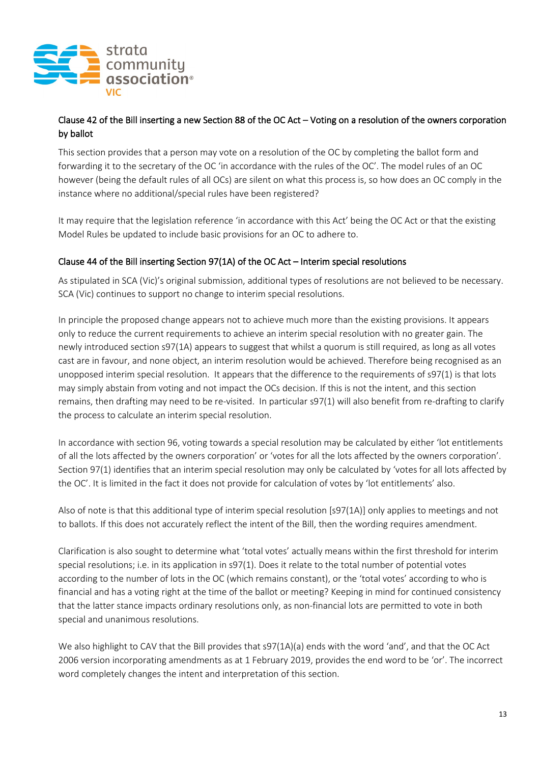

## Clause 42 of the Bill inserting a new Section 88 of the OC Act – Voting on a resolution of the owners corporation by ballot

This section provides that a person may vote on a resolution of the OC by completing the ballot form and forwarding it to the secretary of the OC 'in accordance with the rules of the OC'. The model rules of an OC however (being the default rules of all OCs) are silent on what this process is, so how does an OC comply in the instance where no additional/special rules have been registered?

It may require that the legislation reference 'in accordance with this Act' being the OC Act or that the existing Model Rules be updated to include basic provisions for an OC to adhere to.

## Clause 44 of the Bill inserting Section 97(1A) of the OC Act – Interim special resolutions

As stipulated in SCA (Vic)'s original submission, additional types of resolutions are not believed to be necessary. SCA (Vic) continues to support no change to interim special resolutions.

In principle the proposed change appears not to achieve much more than the existing provisions. It appears only to reduce the current requirements to achieve an interim special resolution with no greater gain. The newly introduced section s97(1A) appears to suggest that whilst a quorum is still required, as long as all votes cast are in favour, and none object, an interim resolution would be achieved. Therefore being recognised as an unopposed interim special resolution. It appears that the difference to the requirements of s97(1) is that lots may simply abstain from voting and not impact the OCs decision. If this is not the intent, and this section remains, then drafting may need to be re-visited. In particular s97(1) will also benefit from re-drafting to clarify the process to calculate an interim special resolution.

In accordance with section 96, voting towards a special resolution may be calculated by either 'lot entitlements of all the lots affected by the owners corporation' or 'votes for all the lots affected by the owners corporation'. Section 97(1) identifies that an interim special resolution may only be calculated by 'votes for all lots affected by the OC'. It is limited in the fact it does not provide for calculation of votes by 'lot entitlements' also.

Also of note is that this additional type of interim special resolution [s97(1A)] only applies to meetings and not to ballots. If this does not accurately reflect the intent of the Bill, then the wording requires amendment.

Clarification is also sought to determine what 'total votes' actually means within the first threshold for interim special resolutions; i.e. in its application in s97(1). Does it relate to the total number of potential votes according to the number of lots in the OC (which remains constant), or the 'total votes' according to who is financial and has a voting right at the time of the ballot or meeting? Keeping in mind for continued consistency that the latter stance impacts ordinary resolutions only, as non-financial lots are permitted to vote in both special and unanimous resolutions.

We also highlight to CAV that the Bill provides that s97(1A)(a) ends with the word 'and', and that the OC Act 2006 version incorporating amendments as at 1 February 2019, provides the end word to be 'or'. The incorrect word completely changes the intent and interpretation of this section.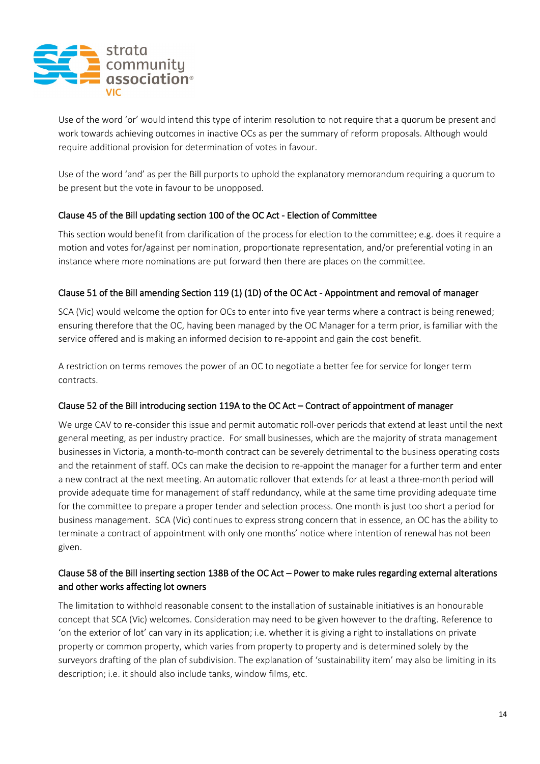

Use of the word 'or' would intend this type of interim resolution to not require that a quorum be present and work towards achieving outcomes in inactive OCs as per the summary of reform proposals. Although would require additional provision for determination of votes in favour.

Use of the word 'and' as per the Bill purports to uphold the explanatory memorandum requiring a quorum to be present but the vote in favour to be unopposed.

#### Clause 45 of the Bill updating section 100 of the OC Act - Election of Committee

This section would benefit from clarification of the process for election to the committee; e.g. does it require a motion and votes for/against per nomination, proportionate representation, and/or preferential voting in an instance where more nominations are put forward then there are places on the committee.

#### Clause 51 of the Bill amending Section 119 (1) (1D) of the OC Act - Appointment and removal of manager

SCA (Vic) would welcome the option for OCs to enter into five year terms where a contract is being renewed; ensuring therefore that the OC, having been managed by the OC Manager for a term prior, is familiar with the service offered and is making an informed decision to re-appoint and gain the cost benefit.

A restriction on terms removes the power of an OC to negotiate a better fee for service for longer term contracts.

#### Clause 52 of the Bill introducing section 119A to the OC Act – Contract of appointment of manager

We urge CAV to re-consider this issue and permit automatic roll-over periods that extend at least until the next general meeting, as per industry practice. For small businesses, which are the majority of strata management businesses in Victoria, a month-to-month contract can be severely detrimental to the business operating costs and the retainment of staff. OCs can make the decision to re-appoint the manager for a further term and enter a new contract at the next meeting. An automatic rollover that extends for at least a three-month period will provide adequate time for management of staff redundancy, while at the same time providing adequate time for the committee to prepare a proper tender and selection process. One month is just too short a period for business management. SCA (Vic) continues to express strong concern that in essence, an OC has the ability to terminate a contract of appointment with only one months' notice where intention of renewal has not been given.

#### Clause 58 of the Bill inserting section 138B of the OC Act – Power to make rules regarding external alterations and other works affecting lot owners

The limitation to withhold reasonable consent to the installation of sustainable initiatives is an honourable concept that SCA (Vic) welcomes. Consideration may need to be given however to the drafting. Reference to 'on the exterior of lot' can vary in its application; i.e. whether it is giving a right to installations on private property or common property, which varies from property to property and is determined solely by the surveyors drafting of the plan of subdivision. The explanation of 'sustainability item' may also be limiting in its description; i.e. it should also include tanks, window films, etc.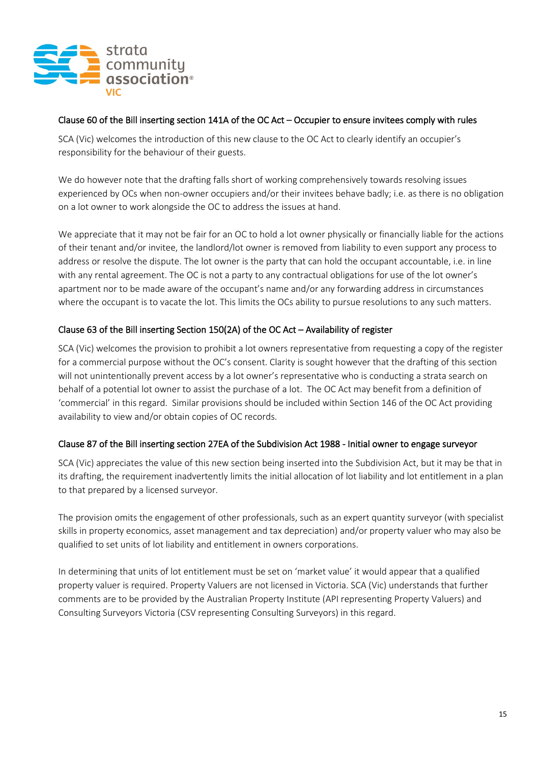

#### Clause 60 of the Bill inserting section 141A of the OC Act – Occupier to ensure invitees comply with rules

SCA (Vic) welcomes the introduction of this new clause to the OC Act to clearly identify an occupier's responsibility for the behaviour of their guests.

We do however note that the drafting falls short of working comprehensively towards resolving issues experienced by OCs when non-owner occupiers and/or their invitees behave badly; i.e. as there is no obligation on a lot owner to work alongside the OC to address the issues at hand.

We appreciate that it may not be fair for an OC to hold a lot owner physically or financially liable for the actions of their tenant and/or invitee, the landlord/lot owner is removed from liability to even support any process to address or resolve the dispute. The lot owner is the party that can hold the occupant accountable, i.e. in line with any rental agreement. The OC is not a party to any contractual obligations for use of the lot owner's apartment nor to be made aware of the occupant's name and/or any forwarding address in circumstances where the occupant is to vacate the lot. This limits the OCs ability to pursue resolutions to any such matters.

#### Clause 63 of the Bill inserting Section 150(2A) of the OC Act – Availability of register

SCA (Vic) welcomes the provision to prohibit a lot owners representative from requesting a copy of the register for a commercial purpose without the OC's consent. Clarity is sought however that the drafting of this section will not unintentionally prevent access by a lot owner's representative who is conducting a strata search on behalf of a potential lot owner to assist the purchase of a lot. The OC Act may benefit from a definition of 'commercial' in this regard. Similar provisions should be included within Section 146 of the OC Act providing availability to view and/or obtain copies of OC records.

#### Clause 87 of the Bill inserting section 27EA of the Subdivision Act 1988 - Initial owner to engage surveyor

SCA (Vic) appreciates the value of this new section being inserted into the Subdivision Act, but it may be that in its drafting, the requirement inadvertently limits the initial allocation of lot liability and lot entitlement in a plan to that prepared by a licensed surveyor.

The provision omits the engagement of other professionals, such as an expert quantity surveyor (with specialist skills in property economics, asset management and tax depreciation) and/or property valuer who may also be qualified to set units of lot liability and entitlement in owners corporations.

In determining that units of lot entitlement must be set on 'market value' it would appear that a qualified property valuer is required. Property Valuers are not licensed in Victoria. SCA (Vic) understands that further comments are to be provided by the Australian Property Institute (API representing Property Valuers) and Consulting Surveyors Victoria (CSV representing Consulting Surveyors) in this regard.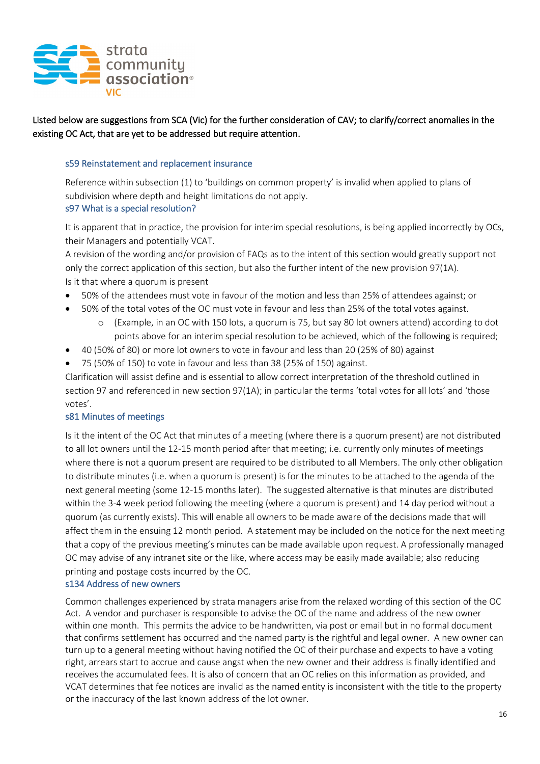

Listed below are suggestions from SCA (Vic) for the further consideration of CAV; to clarify/correct anomalies in the existing OC Act, that are yet to be addressed but require attention.

#### s59 Reinstatement and replacement insurance

Reference within subsection (1) to 'buildings on common property' is invalid when applied to plans of subdivision where depth and height limitations do not apply.

#### s97 What is a special resolution?

It is apparent that in practice, the provision for interim special resolutions, is being applied incorrectly by OCs, their Managers and potentially VCAT.

A revision of the wording and/or provision of FAQs as to the intent of this section would greatly support not only the correct application of this section, but also the further intent of the new provision 97(1A). Is it that where a quorum is present

- 50% of the attendees must vote in favour of the motion and less than 25% of attendees against; or
- 50% of the total votes of the OC must vote in favour and less than 25% of the total votes against.
	- o (Example, in an OC with 150 lots, a quorum is 75, but say 80 lot owners attend) according to dot points above for an interim special resolution to be achieved, which of the following is required;
- 40 (50% of 80) or more lot owners to vote in favour and less than 20 (25% of 80) against
- 75 (50% of 150) to vote in favour and less than 38 (25% of 150) against.

Clarification will assist define and is essential to allow correct interpretation of the threshold outlined in section 97 and referenced in new section 97(1A); in particular the terms 'total votes for all lots' and 'those votes'.

#### s81 Minutes of meetings

Is it the intent of the OC Act that minutes of a meeting (where there is a quorum present) are not distributed to all lot owners until the 12-15 month period after that meeting; i.e. currently only minutes of meetings where there is not a quorum present are required to be distributed to all Members. The only other obligation to distribute minutes (i.e. when a quorum is present) is for the minutes to be attached to the agenda of the next general meeting (some 12-15 months later). The suggested alternative is that minutes are distributed within the 3-4 week period following the meeting (where a quorum is present) and 14 day period without a quorum (as currently exists). This will enable all owners to be made aware of the decisions made that will affect them in the ensuing 12 month period. A statement may be included on the notice for the next meeting that a copy of the previous meeting's minutes can be made available upon request. A professionally managed OC may advise of any intranet site or the like, where access may be easily made available; also reducing printing and postage costs incurred by the OC.

#### s134 Address of new owners

Common challenges experienced by strata managers arise from the relaxed wording of this section of the OC Act. A vendor and purchaser is responsible to advise the OC of the name and address of the new owner within one month. This permits the advice to be handwritten, via post or email but in no formal document that confirms settlement has occurred and the named party is the rightful and legal owner. A new owner can turn up to a general meeting without having notified the OC of their purchase and expects to have a voting right, arrears start to accrue and cause angst when the new owner and their address is finally identified and receives the accumulated fees. It is also of concern that an OC relies on this information as provided, and VCAT determines that fee notices are invalid as the named entity is inconsistent with the title to the property or the inaccuracy of the last known address of the lot owner.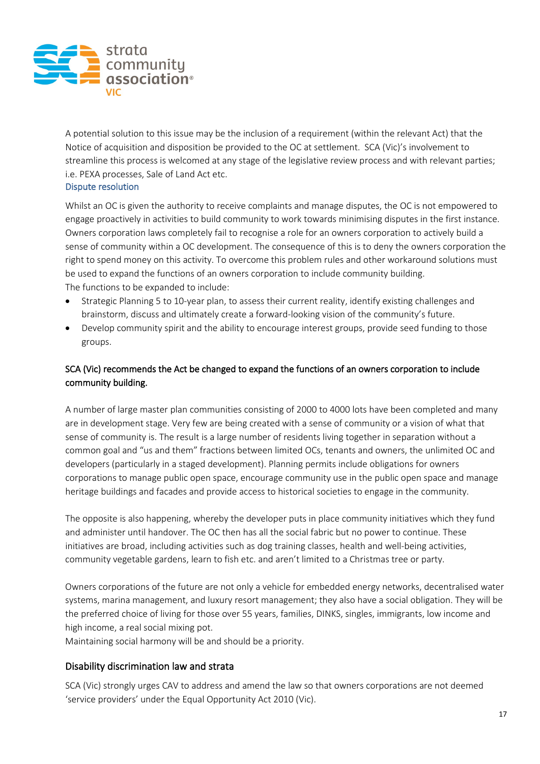

A potential solution to this issue may be the inclusion of a requirement (within the relevant Act) that the Notice of acquisition and disposition be provided to the OC at settlement. SCA (Vic)'s involvement to streamline this process is welcomed at any stage of the legislative review process and with relevant parties; i.e. PEXA processes, Sale of Land Act etc.

Dispute resolution

Whilst an OC is given the authority to receive complaints and manage disputes, the OC is not empowered to engage proactively in activities to build community to work towards minimising disputes in the first instance. Owners corporation laws completely fail to recognise a role for an owners corporation to actively build a sense of community within a OC development. The consequence of this is to deny the owners corporation the right to spend money on this activity. To overcome this problem rules and other workaround solutions must be used to expand the functions of an owners corporation to include community building. The functions to be expanded to include:

- Strategic Planning 5 to 10-year plan, to assess their current reality, identify existing challenges and brainstorm, discuss and ultimately create a forward-looking vision of the community's future.
- Develop community spirit and the ability to encourage interest groups, provide seed funding to those groups.

## SCA (Vic) recommends the Act be changed to expand the functions of an owners corporation to include community building.

A number of large master plan communities consisting of 2000 to 4000 lots have been completed and many are in development stage. Very few are being created with a sense of community or a vision of what that sense of community is. The result is a large number of residents living together in separation without a common goal and "us and them" fractions between limited OCs, tenants and owners, the unlimited OC and developers (particularly in a staged development). Planning permits include obligations for owners corporations to manage public open space, encourage community use in the public open space and manage heritage buildings and facades and provide access to historical societies to engage in the community.

The opposite is also happening, whereby the developer puts in place community initiatives which they fund and administer until handover. The OC then has all the social fabric but no power to continue. These initiatives are broad, including activities such as dog training classes, health and well-being activities, community vegetable gardens, learn to fish etc. and aren't limited to a Christmas tree or party.

Owners corporations of the future are not only a vehicle for embedded energy networks, decentralised water systems, marina management, and luxury resort management; they also have a social obligation. They will be the preferred choice of living for those over 55 years, families, DINKS, singles, immigrants, low income and high income, a real social mixing pot.

Maintaining social harmony will be and should be a priority.

## Disability discrimination law and strata

SCA (Vic) strongly urges CAV to address and amend the law so that owners corporations are not deemed 'service providers' under the Equal Opportunity Act 2010 (Vic).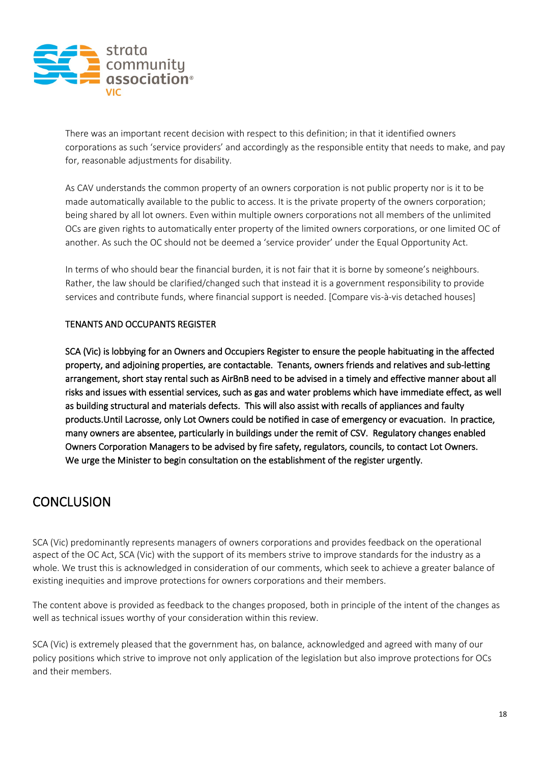

There was an important recent decision with respect to this definition; in that it identified owners corporations as such 'service providers' and accordingly as the responsible entity that needs to make, and pay for, reasonable adjustments for disability.

As CAV understands the common property of an owners corporation is not public property nor is it to be made automatically available to the public to access. It is the private property of the owners corporation; being shared by all lot owners. Even within multiple owners corporations not all members of the unlimited OCs are given rights to automatically enter property of the limited owners corporations, or one limited OC of another. As such the OC should not be deemed a 'service provider' under the Equal Opportunity Act.

In terms of who should bear the financial burden, it is not fair that it is borne by someone's neighbours. Rather, the law should be clarified/changed such that instead it is a government responsibility to provide services and contribute funds, where financial support is needed. [Compare vis-à-vis detached houses]

#### TENANTS AND OCCUPANTS REGISTER

SCA (Vic) is lobbying for an Owners and Occupiers Register to ensure the people habituating in the affected property, and adjoining properties, are contactable. Tenants, owners friends and relatives and sub-letting arrangement, short stay rental such as AirBnB need to be advised in a timely and effective manner about all risks and issues with essential services, such as gas and water problems which have immediate effect, as well as building structural and materials defects. This will also assist with recalls of appliances and faulty products.Until Lacrosse, only Lot Owners could be notified in case of emergency or evacuation. In practice, many owners are absentee, particularly in buildings under the remit of CSV. Regulatory changes enabled Owners Corporation Managers to be advised by fire safety, regulators, councils, to contact Lot Owners. We urge the Minister to begin consultation on the establishment of the register urgently.

## **CONCLUSION**

SCA (Vic) predominantly represents managers of owners corporations and provides feedback on the operational aspect of the OC Act, SCA (Vic) with the support of its members strive to improve standards for the industry as a whole. We trust this is acknowledged in consideration of our comments, which seek to achieve a greater balance of existing inequities and improve protections for owners corporations and their members.

The content above is provided as feedback to the changes proposed, both in principle of the intent of the changes as well as technical issues worthy of your consideration within this review.

SCA (Vic) is extremely pleased that the government has, on balance, acknowledged and agreed with many of our policy positions which strive to improve not only application of the legislation but also improve protections for OCs and their members.